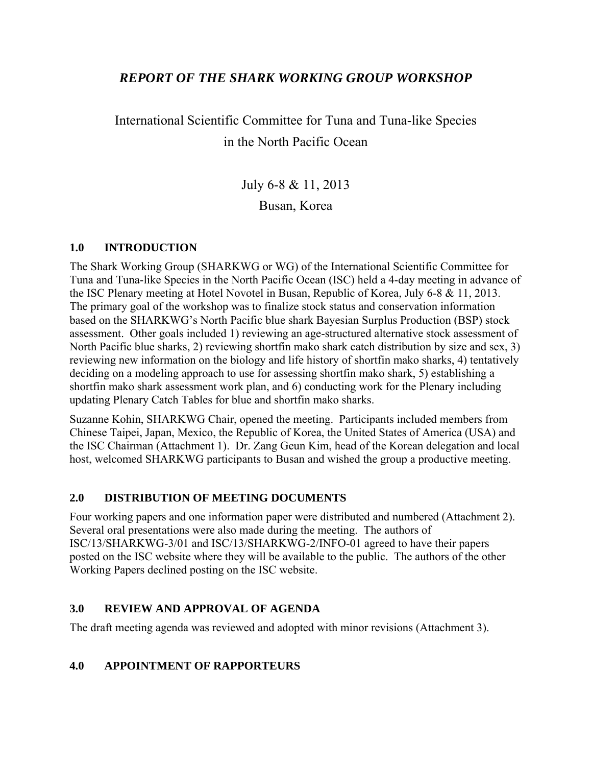# *REPORT OF THE SHARK WORKING GROUP WORKSHOP*

International Scientific Committee for Tuna and Tuna-like Species in the North Pacific Ocean

> July 6-8 & 11, 2013 Busan, Korea

# **1.0 INTRODUCTION**

The Shark Working Group (SHARKWG or WG) of the International Scientific Committee for Tuna and Tuna-like Species in the North Pacific Ocean (ISC) held a 4-day meeting in advance of the ISC Plenary meeting at Hotel Novotel in Busan, Republic of Korea, July 6-8 & 11, 2013. The primary goal of the workshop was to finalize stock status and conservation information based on the SHARKWG's North Pacific blue shark Bayesian Surplus Production (BSP) stock assessment. Other goals included 1) reviewing an age-structured alternative stock assessment of North Pacific blue sharks, 2) reviewing shortfin mako shark catch distribution by size and sex, 3) reviewing new information on the biology and life history of shortfin mako sharks, 4) tentatively deciding on a modeling approach to use for assessing shortfin mako shark, 5) establishing a shortfin mako shark assessment work plan, and 6) conducting work for the Plenary including updating Plenary Catch Tables for blue and shortfin mako sharks.

Suzanne Kohin, SHARKWG Chair, opened the meeting. Participants included members from Chinese Taipei, Japan, Mexico, the Republic of Korea, the United States of America (USA) and the ISC Chairman (Attachment 1). Dr. Zang Geun Kim, head of the Korean delegation and local host, welcomed SHARKWG participants to Busan and wished the group a productive meeting.

### **2.0 DISTRIBUTION OF MEETING DOCUMENTS**

Four working papers and one information paper were distributed and numbered (Attachment 2). Several oral presentations were also made during the meeting. The authors of ISC/13/SHARKWG-3/01 and ISC/13/SHARKWG-2/INFO-01 agreed to have their papers posted on the ISC website where they will be available to the public. The authors of the other Working Papers declined posting on the ISC website.

### **3.0 REVIEW AND APPROVAL OF AGENDA**

The draft meeting agenda was reviewed and adopted with minor revisions (Attachment 3).

# **4.0 APPOINTMENT OF RAPPORTEURS**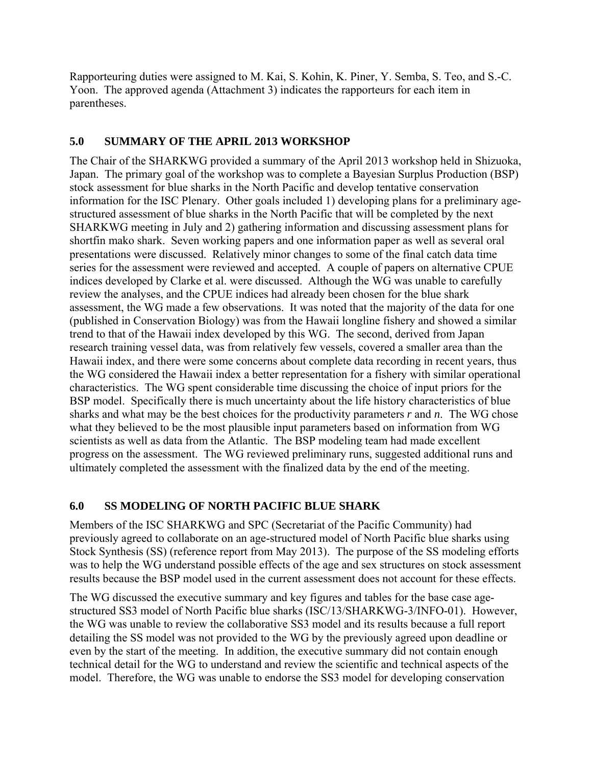Rapporteuring duties were assigned to M. Kai, S. Kohin, K. Piner, Y. Semba, S. Teo, and S.-C. Yoon. The approved agenda (Attachment 3) indicates the rapporteurs for each item in parentheses.

#### **5.0 SUMMARY OF THE APRIL 2013 WORKSHOP**

The Chair of the SHARKWG provided a summary of the April 2013 workshop held in Shizuoka, Japan. The primary goal of the workshop was to complete a Bayesian Surplus Production (BSP) stock assessment for blue sharks in the North Pacific and develop tentative conservation information for the ISC Plenary. Other goals included 1) developing plans for a preliminary agestructured assessment of blue sharks in the North Pacific that will be completed by the next SHARKWG meeting in July and 2) gathering information and discussing assessment plans for shortfin mako shark. Seven working papers and one information paper as well as several oral presentations were discussed. Relatively minor changes to some of the final catch data time series for the assessment were reviewed and accepted. A couple of papers on alternative CPUE indices developed by Clarke et al. were discussed. Although the WG was unable to carefully review the analyses, and the CPUE indices had already been chosen for the blue shark assessment, the WG made a few observations. It was noted that the majority of the data for one (published in Conservation Biology) was from the Hawaii longline fishery and showed a similar trend to that of the Hawaii index developed by this WG. The second, derived from Japan research training vessel data, was from relatively few vessels, covered a smaller area than the Hawaii index, and there were some concerns about complete data recording in recent years, thus the WG considered the Hawaii index a better representation for a fishery with similar operational characteristics. The WG spent considerable time discussing the choice of input priors for the BSP model. Specifically there is much uncertainty about the life history characteristics of blue sharks and what may be the best choices for the productivity parameters *r* and *n*. The WG chose what they believed to be the most plausible input parameters based on information from WG scientists as well as data from the Atlantic. The BSP modeling team had made excellent progress on the assessment. The WG reviewed preliminary runs, suggested additional runs and ultimately completed the assessment with the finalized data by the end of the meeting.

### **6.0 SS MODELING OF NORTH PACIFIC BLUE SHARK**

Members of the ISC SHARKWG and SPC (Secretariat of the Pacific Community) had previously agreed to collaborate on an age-structured model of North Pacific blue sharks using Stock Synthesis (SS) (reference report from May 2013). The purpose of the SS modeling efforts was to help the WG understand possible effects of the age and sex structures on stock assessment results because the BSP model used in the current assessment does not account for these effects.

The WG discussed the executive summary and key figures and tables for the base case agestructured SS3 model of North Pacific blue sharks (ISC/13/SHARKWG-3/INFO-01). However, the WG was unable to review the collaborative SS3 model and its results because a full report detailing the SS model was not provided to the WG by the previously agreed upon deadline or even by the start of the meeting. In addition, the executive summary did not contain enough technical detail for the WG to understand and review the scientific and technical aspects of the model. Therefore, the WG was unable to endorse the SS3 model for developing conservation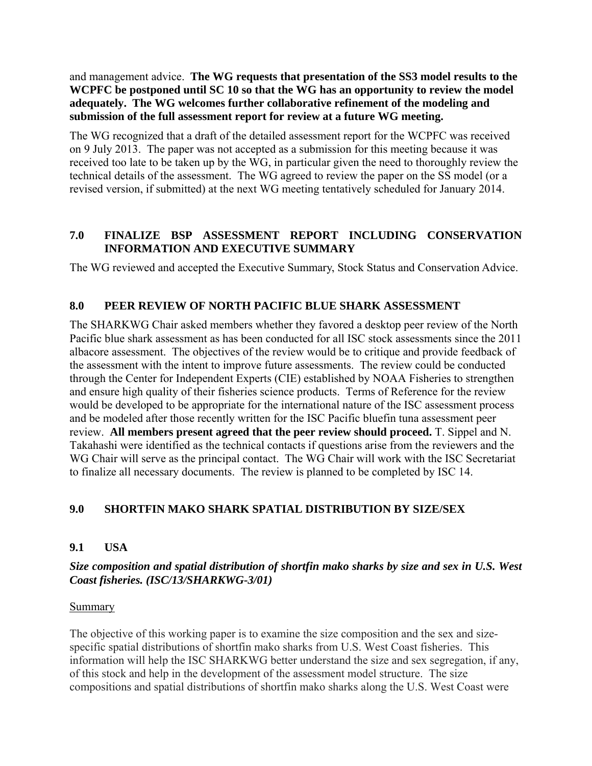and management advice. **The WG requests that presentation of the SS3 model results to the WCPFC be postponed until SC 10 so that the WG has an opportunity to review the model adequately. The WG welcomes further collaborative refinement of the modeling and submission of the full assessment report for review at a future WG meeting.** 

The WG recognized that a draft of the detailed assessment report for the WCPFC was received on 9 July 2013. The paper was not accepted as a submission for this meeting because it was received too late to be taken up by the WG, in particular given the need to thoroughly review the technical details of the assessment. The WG agreed to review the paper on the SS model (or a revised version, if submitted) at the next WG meeting tentatively scheduled for January 2014.

# **7.0 FINALIZE BSP ASSESSMENT REPORT INCLUDING CONSERVATION INFORMATION AND EXECUTIVE SUMMARY**

The WG reviewed and accepted the Executive Summary, Stock Status and Conservation Advice.

# **8.0 PEER REVIEW OF NORTH PACIFIC BLUE SHARK ASSESSMENT**

The SHARKWG Chair asked members whether they favored a desktop peer review of the North Pacific blue shark assessment as has been conducted for all ISC stock assessments since the 2011 albacore assessment. The objectives of the review would be to critique and provide feedback of the assessment with the intent to improve future assessments. The review could be conducted through the Center for Independent Experts (CIE) established by NOAA Fisheries to strengthen and ensure high quality of their fisheries science products. Terms of Reference for the review would be developed to be appropriate for the international nature of the ISC assessment process and be modeled after those recently written for the ISC Pacific bluefin tuna assessment peer review. **All members present agreed that the peer review should proceed.** T. Sippel and N. Takahashi were identified as the technical contacts if questions arise from the reviewers and the WG Chair will serve as the principal contact. The WG Chair will work with the ISC Secretariat to finalize all necessary documents. The review is planned to be completed by ISC 14.

### **9.0 SHORTFIN MAKO SHARK SPATIAL DISTRIBUTION BY SIZE/SEX**

### **9.1 USA**

### *Size composition and spatial distribution of shortfin mako sharks by size and sex in U.S. West Coast fisheries. (ISC/13/SHARKWG-3/01)*

#### **Summary**

The objective of this working paper is to examine the size composition and the sex and sizespecific spatial distributions of shortfin mako sharks from U.S. West Coast fisheries. This information will help the ISC SHARKWG better understand the size and sex segregation, if any, of this stock and help in the development of the assessment model structure. The size compositions and spatial distributions of shortfin mako sharks along the U.S. West Coast were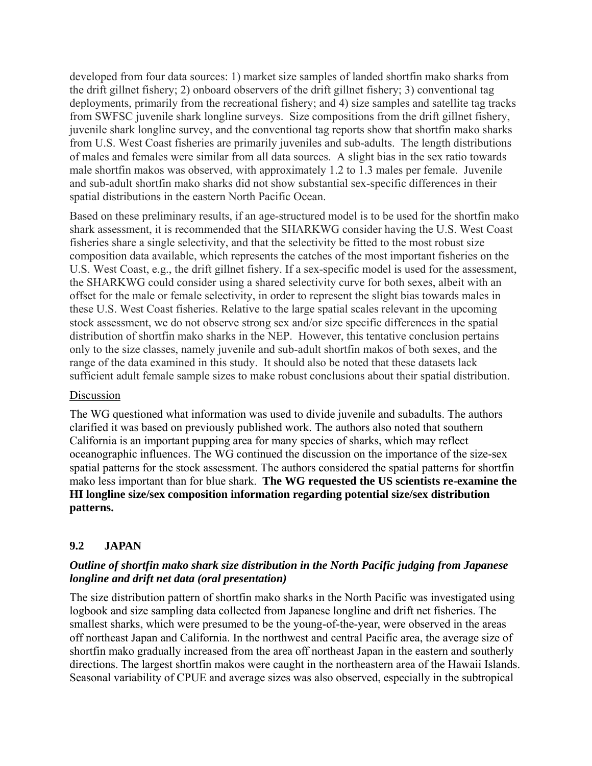developed from four data sources: 1) market size samples of landed shortfin mako sharks from the drift gillnet fishery; 2) onboard observers of the drift gillnet fishery; 3) conventional tag deployments, primarily from the recreational fishery; and 4) size samples and satellite tag tracks from SWFSC juvenile shark longline surveys. Size compositions from the drift gillnet fishery, juvenile shark longline survey, and the conventional tag reports show that shortfin mako sharks from U.S. West Coast fisheries are primarily juveniles and sub-adults. The length distributions of males and females were similar from all data sources. A slight bias in the sex ratio towards male shortfin makos was observed, with approximately 1.2 to 1.3 males per female. Juvenile and sub-adult shortfin mako sharks did not show substantial sex-specific differences in their spatial distributions in the eastern North Pacific Ocean.

Based on these preliminary results, if an age-structured model is to be used for the shortfin mako shark assessment, it is recommended that the SHARKWG consider having the U.S. West Coast fisheries share a single selectivity, and that the selectivity be fitted to the most robust size composition data available, which represents the catches of the most important fisheries on the U.S. West Coast, e.g., the drift gillnet fishery. If a sex-specific model is used for the assessment, the SHARKWG could consider using a shared selectivity curve for both sexes, albeit with an offset for the male or female selectivity, in order to represent the slight bias towards males in these U.S. West Coast fisheries. Relative to the large spatial scales relevant in the upcoming stock assessment, we do not observe strong sex and/or size specific differences in the spatial distribution of shortfin mako sharks in the NEP. However, this tentative conclusion pertains only to the size classes, namely juvenile and sub-adult shortfin makos of both sexes, and the range of the data examined in this study. It should also be noted that these datasets lack sufficient adult female sample sizes to make robust conclusions about their spatial distribution.

#### Discussion

The WG questioned what information was used to divide juvenile and subadults. The authors clarified it was based on previously published work. The authors also noted that southern California is an important pupping area for many species of sharks, which may reflect oceanographic influences. The WG continued the discussion on the importance of the size-sex spatial patterns for the stock assessment. The authors considered the spatial patterns for shortfin mako less important than for blue shark. **The WG requested the US scientists re-examine the HI longline size/sex composition information regarding potential size/sex distribution patterns.**

### **9.2 JAPAN**

# *Outline of shortfin mako shark size distribution in the North Pacific judging from Japanese longline and drift net data (oral presentation)*

The size distribution pattern of shortfin mako sharks in the North Pacific was investigated using logbook and size sampling data collected from Japanese longline and drift net fisheries. The smallest sharks, which were presumed to be the young-of-the-year, were observed in the areas off northeast Japan and California. In the northwest and central Pacific area, the average size of shortfin mako gradually increased from the area off northeast Japan in the eastern and southerly directions. The largest shortfin makos were caught in the northeastern area of the Hawaii Islands. Seasonal variability of CPUE and average sizes was also observed, especially in the subtropical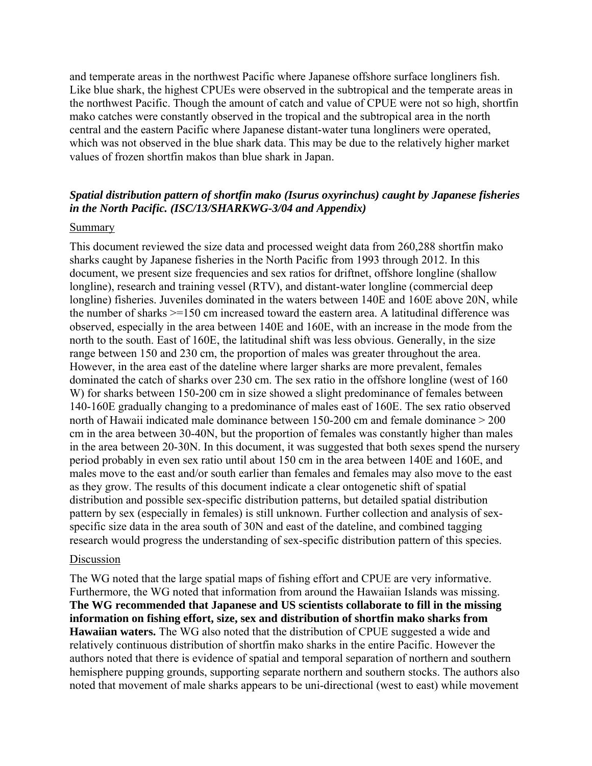and temperate areas in the northwest Pacific where Japanese offshore surface longliners fish. Like blue shark, the highest CPUEs were observed in the subtropical and the temperate areas in the northwest Pacific. Though the amount of catch and value of CPUE were not so high, shortfin mako catches were constantly observed in the tropical and the subtropical area in the north central and the eastern Pacific where Japanese distant-water tuna longliners were operated, which was not observed in the blue shark data. This may be due to the relatively higher market values of frozen shortfin makos than blue shark in Japan.

#### *Spatial distribution pattern of shortfin mako (Isurus oxyrinchus) caught by Japanese fisheries in the North Pacific. (ISC/13/SHARKWG-3/04 and Appendix)*

#### **Summary**

This document reviewed the size data and processed weight data from 260,288 shortfin mako sharks caught by Japanese fisheries in the North Pacific from 1993 through 2012. In this document, we present size frequencies and sex ratios for driftnet, offshore longline (shallow longline), research and training vessel (RTV), and distant-water longline (commercial deep longline) fisheries. Juveniles dominated in the waters between 140E and 160E above 20N, while the number of sharks >=150 cm increased toward the eastern area. A latitudinal difference was observed, especially in the area between 140E and 160E, with an increase in the mode from the north to the south. East of 160E, the latitudinal shift was less obvious. Generally, in the size range between 150 and 230 cm, the proportion of males was greater throughout the area. However, in the area east of the dateline where larger sharks are more prevalent, females dominated the catch of sharks over 230 cm. The sex ratio in the offshore longline (west of 160 W) for sharks between 150-200 cm in size showed a slight predominance of females between 140-160E gradually changing to a predominance of males east of 160E. The sex ratio observed north of Hawaii indicated male dominance between 150-200 cm and female dominance > 200 cm in the area between 30-40N, but the proportion of females was constantly higher than males in the area between 20-30N. In this document, it was suggested that both sexes spend the nursery period probably in even sex ratio until about 150 cm in the area between 140E and 160E, and males move to the east and/or south earlier than females and females may also move to the east as they grow. The results of this document indicate a clear ontogenetic shift of spatial distribution and possible sex-specific distribution patterns, but detailed spatial distribution pattern by sex (especially in females) is still unknown. Further collection and analysis of sexspecific size data in the area south of 30N and east of the dateline, and combined tagging research would progress the understanding of sex-specific distribution pattern of this species.

#### Discussion

The WG noted that the large spatial maps of fishing effort and CPUE are very informative. Furthermore, the WG noted that information from around the Hawaiian Islands was missing. **The WG recommended that Japanese and US scientists collaborate to fill in the missing information on fishing effort, size, sex and distribution of shortfin mako sharks from Hawaiian waters.** The WG also noted that the distribution of CPUE suggested a wide and relatively continuous distribution of shortfin mako sharks in the entire Pacific. However the authors noted that there is evidence of spatial and temporal separation of northern and southern hemisphere pupping grounds, supporting separate northern and southern stocks. The authors also noted that movement of male sharks appears to be uni-directional (west to east) while movement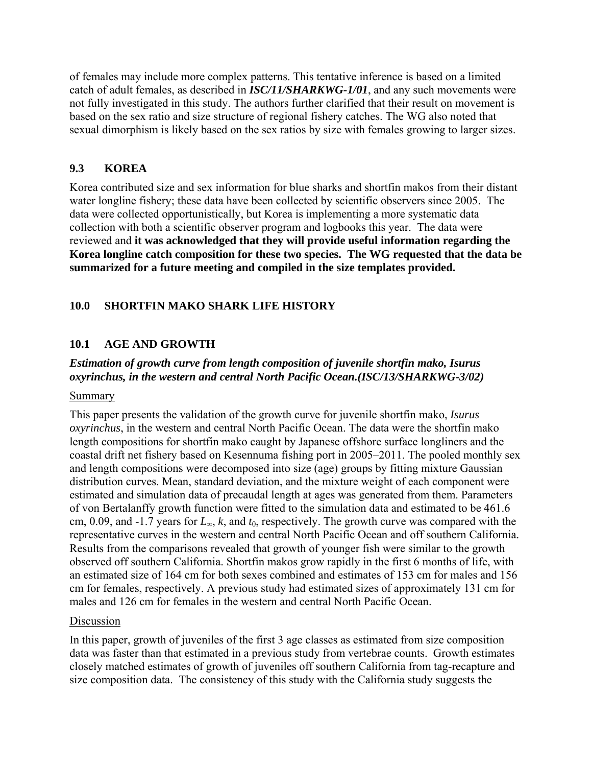of females may include more complex patterns. This tentative inference is based on a limited catch of adult females, as described in *ISC/11/SHARKWG-1/01*, and any such movements were not fully investigated in this study. The authors further clarified that their result on movement is based on the sex ratio and size structure of regional fishery catches. The WG also noted that sexual dimorphism is likely based on the sex ratios by size with females growing to larger sizes.

### **9.3 KOREA**

Korea contributed size and sex information for blue sharks and shortfin makos from their distant water longline fishery; these data have been collected by scientific observers since 2005. The data were collected opportunistically, but Korea is implementing a more systematic data collection with both a scientific observer program and logbooks this year. The data were reviewed and **it was acknowledged that they will provide useful information regarding the Korea longline catch composition for these two species. The WG requested that the data be summarized for a future meeting and compiled in the size templates provided.**

# **10.0 SHORTFIN MAKO SHARK LIFE HISTORY**

# **10.1 AGE AND GROWTH**

# *Estimation of growth curve from length composition of juvenile shortfin mako, Isurus oxyrinchus, in the western and central North Pacific Ocean.(ISC/13/SHARKWG-3/02)*

#### Summary

This paper presents the validation of the growth curve for juvenile shortfin mako, *Isurus oxyrinchus*, in the western and central North Pacific Ocean. The data were the shortfin mako length compositions for shortfin mako caught by Japanese offshore surface longliners and the coastal drift net fishery based on Kesennuma fishing port in 2005–2011. The pooled monthly sex and length compositions were decomposed into size (age) groups by fitting mixture Gaussian distribution curves. Mean, standard deviation, and the mixture weight of each component were estimated and simulation data of precaudal length at ages was generated from them. Parameters of von Bertalanffy growth function were fitted to the simulation data and estimated to be 461.6 cm, 0.09, and -1.7 years for *L*∞, *k*, and *t*0, respectively. The growth curve was compared with the representative curves in the western and central North Pacific Ocean and off southern California. Results from the comparisons revealed that growth of younger fish were similar to the growth observed off southern California. Shortfin makos grow rapidly in the first 6 months of life, with an estimated size of 164 cm for both sexes combined and estimates of 153 cm for males and 156 cm for females, respectively. A previous study had estimated sizes of approximately 131 cm for males and 126 cm for females in the western and central North Pacific Ocean.

#### Discussion

In this paper, growth of juveniles of the first 3 age classes as estimated from size composition data was faster than that estimated in a previous study from vertebrae counts. Growth estimates closely matched estimates of growth of juveniles off southern California from tag-recapture and size composition data. The consistency of this study with the California study suggests the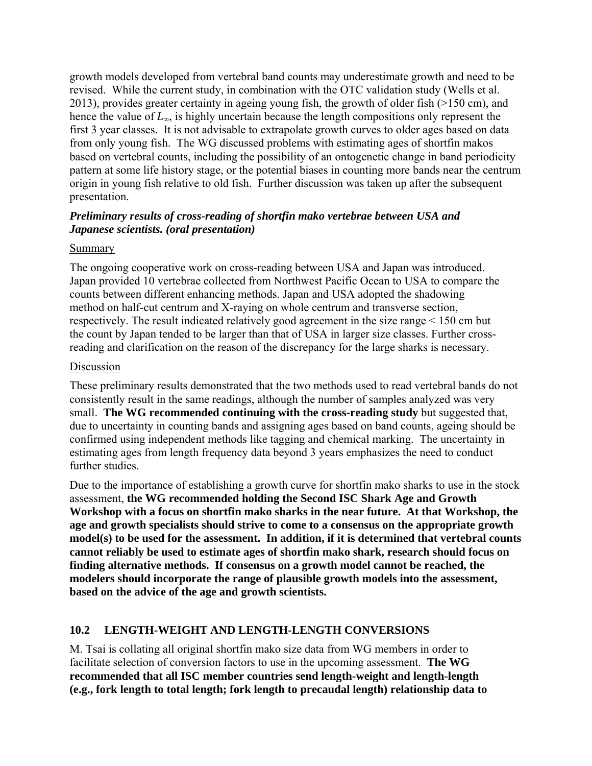growth models developed from vertebral band counts may underestimate growth and need to be revised. While the current study, in combination with the OTC validation study (Wells et al. 2013), provides greater certainty in ageing young fish, the growth of older fish (>150 cm), and hence the value of *L*∞, is highly uncertain because the length compositions only represent the first 3 year classes. It is not advisable to extrapolate growth curves to older ages based on data from only young fish. The WG discussed problems with estimating ages of shortfin makos based on vertebral counts, including the possibility of an ontogenetic change in band periodicity pattern at some life history stage, or the potential biases in counting more bands near the centrum origin in young fish relative to old fish. Further discussion was taken up after the subsequent presentation.

### *Preliminary results of cross-reading of shortfin mako vertebrae between USA and Japanese scientists. (oral presentation)*

### **Summary**

The ongoing cooperative work on cross-reading between USA and Japan was introduced. Japan provided 10 vertebrae collected from Northwest Pacific Ocean to USA to compare the counts between different enhancing methods. Japan and USA adopted the shadowing method on half-cut centrum and X-raying on whole centrum and transverse section, respectively. The result indicated relatively good agreement in the size range < 150 cm but the count by Japan tended to be larger than that of USA in larger size classes. Further crossreading and clarification on the reason of the discrepancy for the large sharks is necessary.

### Discussion

These preliminary results demonstrated that the two methods used to read vertebral bands do not consistently result in the same readings, although the number of samples analyzed was very small. **The WG recommended continuing with the cross-reading study** but suggested that, due to uncertainty in counting bands and assigning ages based on band counts, ageing should be confirmed using independent methods like tagging and chemical marking. The uncertainty in estimating ages from length frequency data beyond 3 years emphasizes the need to conduct further studies.

Due to the importance of establishing a growth curve for shortfin mako sharks to use in the stock assessment, **the WG recommended holding the Second ISC Shark Age and Growth Workshop with a focus on shortfin mako sharks in the near future. At that Workshop, the age and growth specialists should strive to come to a consensus on the appropriate growth model(s) to be used for the assessment. In addition, if it is determined that vertebral counts cannot reliably be used to estimate ages of shortfin mako shark, research should focus on finding alternative methods. If consensus on a growth model cannot be reached, the modelers should incorporate the range of plausible growth models into the assessment, based on the advice of the age and growth scientists.** 

# **10.2 LENGTH-WEIGHT AND LENGTH-LENGTH CONVERSIONS**

M. Tsai is collating all original shortfin mako size data from WG members in order to facilitate selection of conversion factors to use in the upcoming assessment. **The WG recommended that all ISC member countries send length-weight and length-length (e.g., fork length to total length; fork length to precaudal length) relationship data to**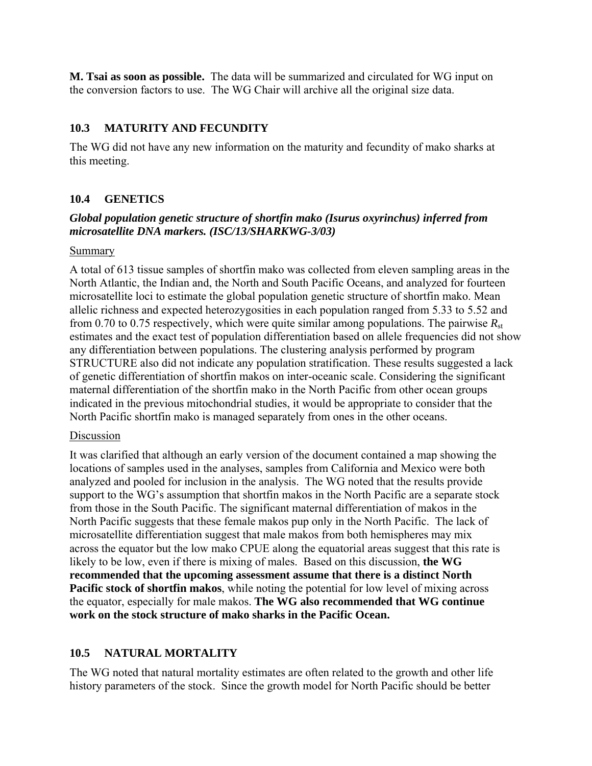**M. Tsai as soon as possible.** The data will be summarized and circulated for WG input on the conversion factors to use. The WG Chair will archive all the original size data.

### **10.3 MATURITY AND FECUNDITY**

The WG did not have any new information on the maturity and fecundity of mako sharks at this meeting.

# **10.4 GENETICS**

### *Global population genetic structure of shortfin mako (Isurus oxyrinchus) inferred from microsatellite DNA markers. (ISC/13/SHARKWG-3/03)*

#### Summary

A total of 613 tissue samples of shortfin mako was collected from eleven sampling areas in the North Atlantic, the Indian and, the North and South Pacific Oceans, and analyzed for fourteen microsatellite loci to estimate the global population genetic structure of shortfin mako. Mean allelic richness and expected heterozygosities in each population ranged from 5.33 to 5.52 and from 0.70 to 0.75 respectively, which were quite similar among populations. The pairwise  $R_{st}$ estimates and the exact test of population differentiation based on allele frequencies did not show any differentiation between populations. The clustering analysis performed by program STRUCTURE also did not indicate any population stratification. These results suggested a lack of genetic differentiation of shortfin makos on inter-oceanic scale. Considering the significant maternal differentiation of the shortfin mako in the North Pacific from other ocean groups indicated in the previous mitochondrial studies, it would be appropriate to consider that the North Pacific shortfin mako is managed separately from ones in the other oceans.

### Discussion

It was clarified that although an early version of the document contained a map showing the locations of samples used in the analyses, samples from California and Mexico were both analyzed and pooled for inclusion in the analysis. The WG noted that the results provide support to the WG's assumption that shortfin makos in the North Pacific are a separate stock from those in the South Pacific. The significant maternal differentiation of makos in the North Pacific suggests that these female makos pup only in the North Pacific. The lack of microsatellite differentiation suggest that male makos from both hemispheres may mix across the equator but the low mako CPUE along the equatorial areas suggest that this rate is likely to be low, even if there is mixing of males. Based on this discussion, **the WG recommended that the upcoming assessment assume that there is a distinct North Pacific stock of shortfin makos**, while noting the potential for low level of mixing across the equator, especially for male makos. **The WG also recommended that WG continue work on the stock structure of mako sharks in the Pacific Ocean.** 

# **10.5 NATURAL MORTALITY**

The WG noted that natural mortality estimates are often related to the growth and other life history parameters of the stock. Since the growth model for North Pacific should be better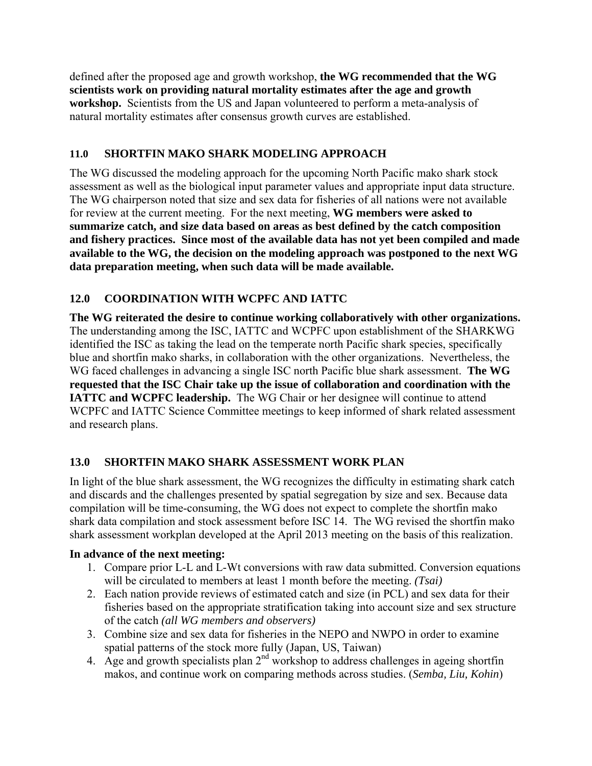defined after the proposed age and growth workshop, **the WG recommended that the WG scientists work on providing natural mortality estimates after the age and growth workshop.** Scientists from the US and Japan volunteered to perform a meta-analysis of natural mortality estimates after consensus growth curves are established.

# **11.0 SHORTFIN MAKO SHARK MODELING APPROACH**

The WG discussed the modeling approach for the upcoming North Pacific mako shark stock assessment as well as the biological input parameter values and appropriate input data structure. The WG chairperson noted that size and sex data for fisheries of all nations were not available for review at the current meeting. For the next meeting, **WG members were asked to summarize catch, and size data based on areas as best defined by the catch composition and fishery practices. Since most of the available data has not yet been compiled and made available to the WG, the decision on the modeling approach was postponed to the next WG data preparation meeting, when such data will be made available.** 

# **12.0 COORDINATION WITH WCPFC AND IATTC**

**The WG reiterated the desire to continue working collaboratively with other organizations.**  The understanding among the ISC, IATTC and WCPFC upon establishment of the SHARKWG identified the ISC as taking the lead on the temperate north Pacific shark species, specifically blue and shortfin mako sharks, in collaboration with the other organizations. Nevertheless, the WG faced challenges in advancing a single ISC north Pacific blue shark assessment. **The WG requested that the ISC Chair take up the issue of collaboration and coordination with the IATTC and WCPFC leadership.** The WG Chair or her designee will continue to attend WCPFC and IATTC Science Committee meetings to keep informed of shark related assessment and research plans.

# **13.0 SHORTFIN MAKO SHARK ASSESSMENT WORK PLAN**

In light of the blue shark assessment, the WG recognizes the difficulty in estimating shark catch and discards and the challenges presented by spatial segregation by size and sex. Because data compilation will be time-consuming, the WG does not expect to complete the shortfin mako shark data compilation and stock assessment before ISC 14. The WG revised the shortfin mako shark assessment workplan developed at the April 2013 meeting on the basis of this realization.

### **In advance of the next meeting:**

- 1. Compare prior L-L and L-Wt conversions with raw data submitted. Conversion equations will be circulated to members at least 1 month before the meeting. *(Tsai)*
- 2. Each nation provide reviews of estimated catch and size (in PCL) and sex data for their fisheries based on the appropriate stratification taking into account size and sex structure of the catch *(all WG members and observers)*
- 3. Combine size and sex data for fisheries in the NEPO and NWPO in order to examine spatial patterns of the stock more fully (Japan, US, Taiwan)
- 4. Age and growth specialists plan  $2<sup>nd</sup>$  workshop to address challenges in ageing shortfin makos, and continue work on comparing methods across studies. (*Semba, Liu, Kohin*)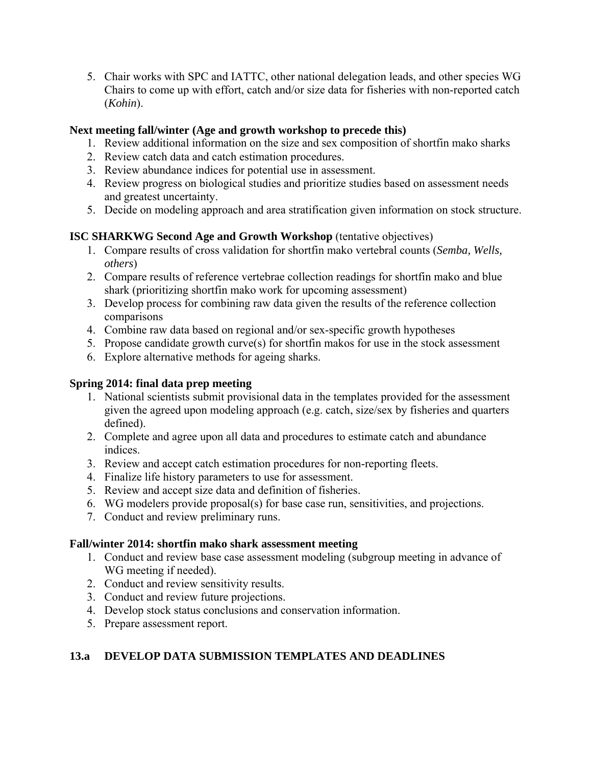5. Chair works with SPC and IATTC, other national delegation leads, and other species WG Chairs to come up with effort, catch and/or size data for fisheries with non-reported catch (*Kohin*).

# **Next meeting fall/winter (Age and growth workshop to precede this)**

- 1. Review additional information on the size and sex composition of shortfin mako sharks
- 2. Review catch data and catch estimation procedures.
- 3. Review abundance indices for potential use in assessment.
- 4. Review progress on biological studies and prioritize studies based on assessment needs and greatest uncertainty.
- 5. Decide on modeling approach and area stratification given information on stock structure.

# **ISC SHARKWG Second Age and Growth Workshop** (tentative objectives)

- 1. Compare results of cross validation for shortfin mako vertebral counts (*Semba, Wells, others*)
- 2. Compare results of reference vertebrae collection readings for shortfin mako and blue shark (prioritizing shortfin mako work for upcoming assessment)
- 3. Develop process for combining raw data given the results of the reference collection comparisons
- 4. Combine raw data based on regional and/or sex-specific growth hypotheses
- 5. Propose candidate growth curve(s) for shortfin makos for use in the stock assessment
- 6. Explore alternative methods for ageing sharks.

### **Spring 2014: final data prep meeting**

- 1. National scientists submit provisional data in the templates provided for the assessment given the agreed upon modeling approach (e.g. catch, size/sex by fisheries and quarters defined).
- 2. Complete and agree upon all data and procedures to estimate catch and abundance indices.
- 3. Review and accept catch estimation procedures for non-reporting fleets.
- 4. Finalize life history parameters to use for assessment.
- 5. Review and accept size data and definition of fisheries.
- 6. WG modelers provide proposal(s) for base case run, sensitivities, and projections.
- 7. Conduct and review preliminary runs.

### **Fall/winter 2014: shortfin mako shark assessment meeting**

- 1. Conduct and review base case assessment modeling (subgroup meeting in advance of WG meeting if needed).
- 2. Conduct and review sensitivity results.
- 3. Conduct and review future projections.
- 4. Develop stock status conclusions and conservation information.
- 5. Prepare assessment report.

# **13.a DEVELOP DATA SUBMISSION TEMPLATES AND DEADLINES**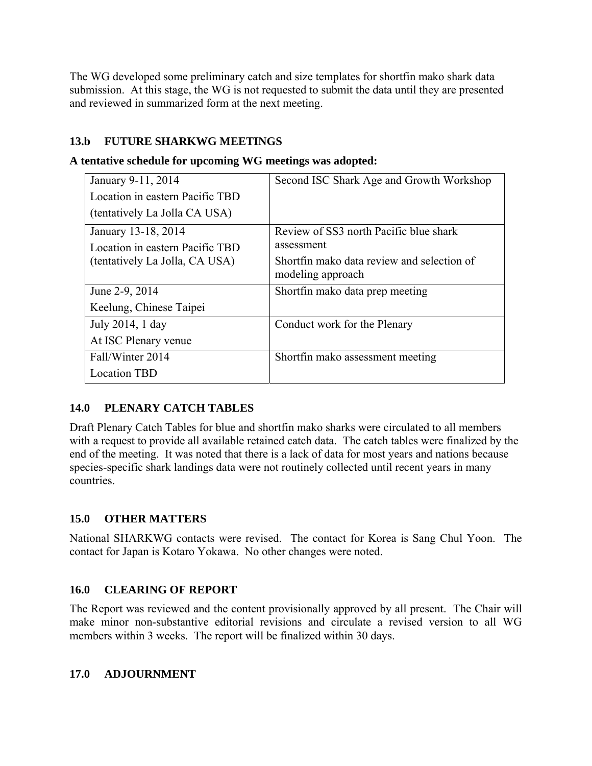The WG developed some preliminary catch and size templates for shortfin mako shark data submission. At this stage, the WG is not requested to submit the data until they are presented and reviewed in summarized form at the next meeting.

# **13.b FUTURE SHARKWG MEETINGS**

|  |  | A tentative schedule for upcoming WG meetings was adopted: |  |  |
|--|--|------------------------------------------------------------|--|--|
|  |  |                                                            |  |  |

| January 9-11, 2014<br>Location in eastern Pacific TBD<br>(tentatively La Jolla CA USA) | Second ISC Shark Age and Growth Workshop                        |
|----------------------------------------------------------------------------------------|-----------------------------------------------------------------|
| January 13-18, 2014<br>Location in eastern Pacific TBD                                 | Review of SS3 north Pacific blue shark<br>assessment            |
| (tentatively La Jolla, CA USA)                                                         | Shortfin mako data review and selection of<br>modeling approach |
| June 2-9, 2014                                                                         | Shortfin mako data prep meeting                                 |
| Keelung, Chinese Taipei                                                                |                                                                 |
| July 2014, 1 day                                                                       | Conduct work for the Plenary                                    |
| At ISC Plenary venue                                                                   |                                                                 |
| Fall/Winter 2014                                                                       | Shortfin mako assessment meeting                                |
| <b>Location TBD</b>                                                                    |                                                                 |

# **14.0 PLENARY CATCH TABLES**

Draft Plenary Catch Tables for blue and shortfin mako sharks were circulated to all members with a request to provide all available retained catch data. The catch tables were finalized by the end of the meeting. It was noted that there is a lack of data for most years and nations because species-specific shark landings data were not routinely collected until recent years in many countries.

# **15.0 OTHER MATTERS**

National SHARKWG contacts were revised. The contact for Korea is Sang Chul Yoon. The contact for Japan is Kotaro Yokawa. No other changes were noted.

# **16.0 CLEARING OF REPORT**

The Report was reviewed and the content provisionally approved by all present. The Chair will make minor non-substantive editorial revisions and circulate a revised version to all WG members within 3 weeks. The report will be finalized within 30 days.

### **17.0 ADJOURNMENT**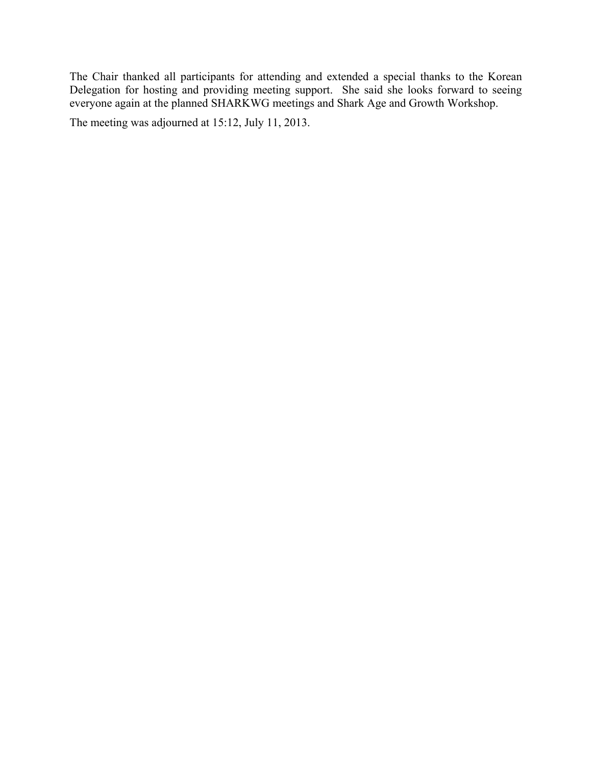The Chair thanked all participants for attending and extended a special thanks to the Korean Delegation for hosting and providing meeting support. She said she looks forward to seeing everyone again at the planned SHARKWG meetings and Shark Age and Growth Workshop.

The meeting was adjourned at 15:12, July 11, 2013.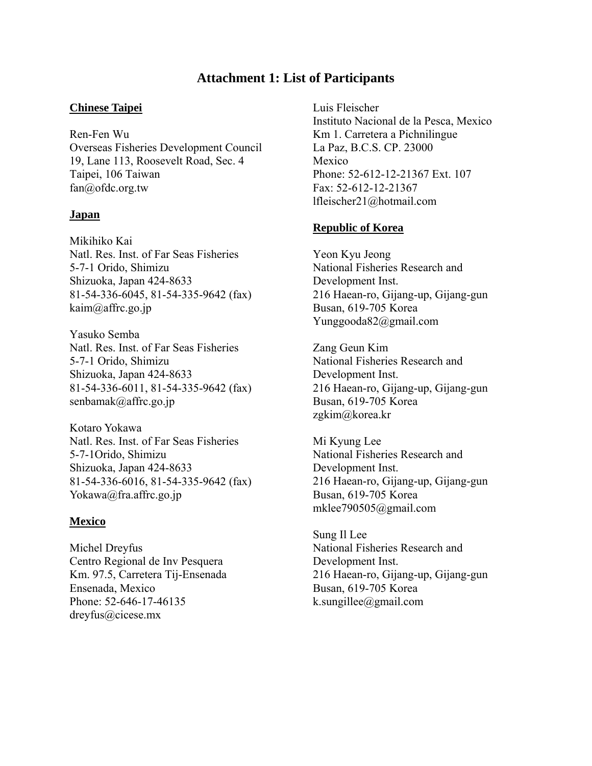# **Attachment 1: List of Participants**

#### **Chinese Taipei**

Ren-Fen Wu Overseas Fisheries Development Council 19, Lane 113, Roosevelt Road, Sec. 4 Taipei, 106 Taiwan fan@ofdc.org.tw

#### **Japan**

Mikihiko Kai Natl. Res. Inst. of Far Seas Fisheries 5-7-1 Orido, Shimizu Shizuoka, Japan 424-8633 81-54-336-6045, 81-54-335-9642 (fax) kaim@affrc.go.jp

Yasuko Semba Natl. Res. Inst. of Far Seas Fisheries 5-7-1 Orido, Shimizu Shizuoka, Japan 424-8633 81-54-336-6011, 81-54-335-9642 (fax) senbamak@affrc.go.jp

Kotaro Yokawa Natl. Res. Inst. of Far Seas Fisheries 5-7-1Orido, Shimizu Shizuoka, Japan 424-8633 81-54-336-6016, 81-54-335-9642 (fax) Yokawa@fra.affrc.go.jp

#### **Mexico**

Michel Dreyfus Centro Regional de Inv Pesquera Km. 97.5, Carretera Tij-Ensenada Ensenada, Mexico Phone: 52-646-17-46135 dreyfus@cicese.mx

Luis Fleischer Instituto Nacional de la Pesca, Mexico Km 1. Carretera a Pichnilingue La Paz, B.C.S. CP. 23000 Mexico Phone: 52-612-12-21367 Ext. 107 Fax: 52-612-12-21367 lfleischer21@hotmail.com

#### **Republic of Korea**

Yeon Kyu Jeong National Fisheries Research and Development Inst. 216 Haean-ro, Gijang-up, Gijang-gun Busan, 619-705 Korea Yunggooda82@gmail.com

Zang Geun Kim National Fisheries Research and Development Inst. 216 Haean-ro, Gijang-up, Gijang-gun Busan, 619-705 Korea zgkim@korea.kr

Mi Kyung Lee National Fisheries Research and Development Inst. 216 Haean-ro, Gijang-up, Gijang-gun Busan, 619-705 Korea mklee790505@gmail.com

Sung Il Lee National Fisheries Research and Development Inst. 216 Haean-ro, Gijang-up, Gijang-gun Busan, 619-705 Korea k.sungillee@gmail.com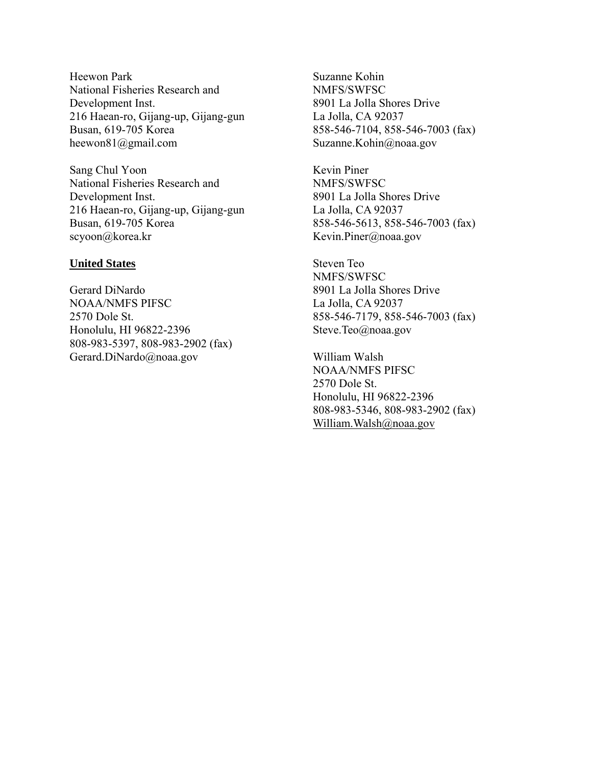Heewon Park National Fisheries Research and Development Inst. 216 Haean-ro, Gijang-up, Gijang-gun Busan, 619-705 Korea heewon81@gmail.com

Sang Chul Yoon National Fisheries Research and Development Inst. 216 Haean-ro, Gijang-up, Gijang-gun Busan, 619-705 Korea scyoon@korea.kr

#### **United States**

Gerard DiNardo NOAA/NMFS PIFSC 2570 Dole St. Honolulu, HI 96822-2396 808-983-5397, 808-983-2902 (fax) Gerard.DiNardo@noaa.gov

Suzanne Kohin NMFS/SWFSC 8901 La Jolla Shores Drive La Jolla, CA 92037 858-546-7104, 858-546-7003 (fax) Suzanne.Kohin@noaa.gov

Kevin Piner NMFS/SWFSC 8901 La Jolla Shores Drive La Jolla, CA 92037 858-546-5613, 858-546-7003 (fax) Kevin.Piner@noaa.gov

Steven Teo NMFS/SWFSC 8901 La Jolla Shores Drive La Jolla, CA 92037 858-546-7179, 858-546-7003 (fax) Steve.Teo@noaa.gov

William Walsh NOAA/NMFS PIFSC 2570 Dole St. Honolulu, HI 96822-2396 808-983-5346, 808-983-2902 (fax) William.Walsh@noaa.gov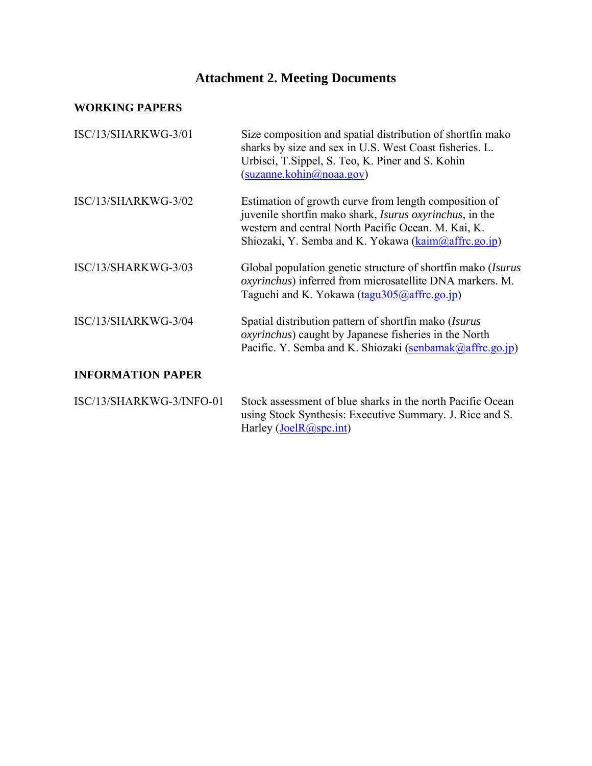# **Attachment 2. Meeting Documents**

# **WORKING PAPERS**

| ISC/13/SHARKWG-3/01      | Size composition and spatial distribution of shortfin mako<br>sharks by size and sex in U.S. West Coast fisheries. L.<br>Urbisci, T. Sippel, S. Teo, K. Piner and S. Kohin<br>(suzanne.kohin@noaa.gov)                                 |
|--------------------------|----------------------------------------------------------------------------------------------------------------------------------------------------------------------------------------------------------------------------------------|
| ISC/13/SHARKWG-3/02      | Estimation of growth curve from length composition of<br>juvenile shortfin mako shark, <i>Isurus oxyrinchus</i> , in the<br>western and central North Pacific Ocean. M. Kai, K.<br>Shiozaki, Y. Semba and K. Yokawa (kaim@affrc.go.jp) |
| ISC/13/SHARKWG-3/03      | Global population genetic structure of shortfin mako ( <i>Isurus</i><br><i>oxyrinchus</i> ) inferred from microsatellite DNA markers. M.<br>Taguchi and K. Yokawa (tagu305@affrc.go.jp)                                                |
| ISC/13/SHARKWG-3/04      | Spatial distribution pattern of shortfin mako (Isurus<br><i>oxyrinchus</i> ) caught by Japanese fisheries in the North<br>Pacific. Y. Semba and K. Shiozaki (senbamak@affrc.go.jp)                                                     |
| <b>INFORMATION PAPER</b> |                                                                                                                                                                                                                                        |
| ISC/13/SHARKWG-3/INFO-01 | Stock assessment of blue sharks in the north Pacific Ocean<br>using Stock Synthesis: Executive Summary. J. Rice and S.                                                                                                                 |

Harley (*JoelR@spc.int*)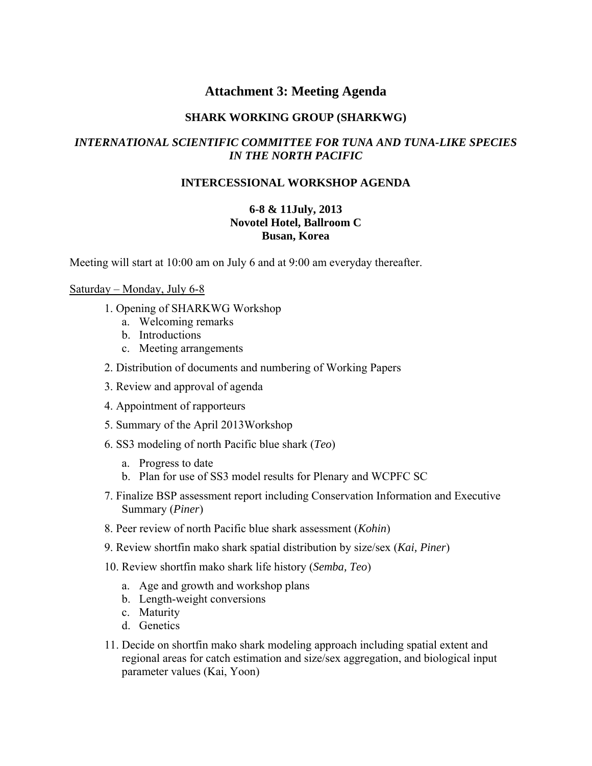# **Attachment 3: Meeting Agenda**

#### **SHARK WORKING GROUP (SHARKWG)**

#### *INTERNATIONAL SCIENTIFIC COMMITTEE FOR TUNA AND TUNA-LIKE SPECIES IN THE NORTH PACIFIC*

#### **INTERCESSIONAL WORKSHOP AGENDA**

#### **6-8 & 11July, 2013 Novotel Hotel, Ballroom C Busan, Korea**

Meeting will start at 10:00 am on July 6 and at 9:00 am everyday thereafter.

#### Saturday – Monday, July 6-8

- 1. Opening of SHARKWG Workshop
	- a. Welcoming remarks
	- b. Introductions
	- c. Meeting arrangements
- 2. Distribution of documents and numbering of Working Papers
- 3. Review and approval of agenda
- 4. Appointment of rapporteurs
- 5. Summary of the April 2013Workshop
- 6. SS3 modeling of north Pacific blue shark (*Teo*)
	- a. Progress to date
	- b. Plan for use of SS3 model results for Plenary and WCPFC SC
- 7. Finalize BSP assessment report including Conservation Information and Executive Summary (*Piner*)
- 8. Peer review of north Pacific blue shark assessment (*Kohin*)
- 9. Review shortfin mako shark spatial distribution by size/sex (*Kai, Piner*)
- 10. Review shortfin mako shark life history (*Semba, Teo*)
	- a. Age and growth and workshop plans
	- b. Length-weight conversions
	- c. Maturity
	- d. Genetics
- 11. Decide on shortfin mako shark modeling approach including spatial extent and regional areas for catch estimation and size/sex aggregation, and biological input parameter values (Kai, Yoon)